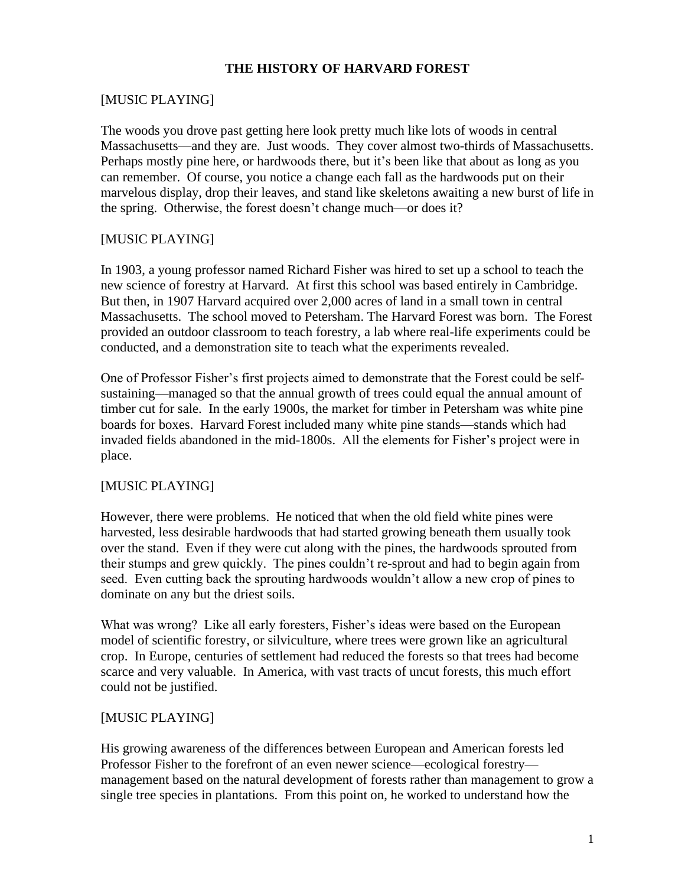## **THE HISTORY OF HARVARD FOREST**

### [MUSIC PLAYING]

The woods you drove past getting here look pretty much like lots of woods in central Massachusetts—and they are. Just woods. They cover almost two-thirds of Massachusetts. Perhaps mostly pine here, or hardwoods there, but it's been like that about as long as you can remember. Of course, you notice a change each fall as the hardwoods put on their marvelous display, drop their leaves, and stand like skeletons awaiting a new burst of life in the spring. Otherwise, the forest doesn't change much—or does it?

### [MUSIC PLAYING]

In 1903, a young professor named Richard Fisher was hired to set up a school to teach the new science of forestry at Harvard. At first this school was based entirely in Cambridge. But then, in 1907 Harvard acquired over 2,000 acres of land in a small town in central Massachusetts. The school moved to Petersham. The Harvard Forest was born. The Forest provided an outdoor classroom to teach forestry, a lab where real-life experiments could be conducted, and a demonstration site to teach what the experiments revealed.

One of Professor Fisher's first projects aimed to demonstrate that the Forest could be selfsustaining—managed so that the annual growth of trees could equal the annual amount of timber cut for sale. In the early 1900s, the market for timber in Petersham was white pine boards for boxes. Harvard Forest included many white pine stands—stands which had invaded fields abandoned in the mid-1800s. All the elements for Fisher's project were in place.

#### [MUSIC PLAYING]

However, there were problems. He noticed that when the old field white pines were harvested, less desirable hardwoods that had started growing beneath them usually took over the stand. Even if they were cut along with the pines, the hardwoods sprouted from their stumps and grew quickly. The pines couldn't re-sprout and had to begin again from seed. Even cutting back the sprouting hardwoods wouldn't allow a new crop of pines to dominate on any but the driest soils.

What was wrong? Like all early foresters, Fisher's ideas were based on the European model of scientific forestry, or silviculture, where trees were grown like an agricultural crop. In Europe, centuries of settlement had reduced the forests so that trees had become scarce and very valuable. In America, with vast tracts of uncut forests, this much effort could not be justified.

#### [MUSIC PLAYING]

His growing awareness of the differences between European and American forests led Professor Fisher to the forefront of an even newer science—ecological forestry management based on the natural development of forests rather than management to grow a single tree species in plantations. From this point on, he worked to understand how the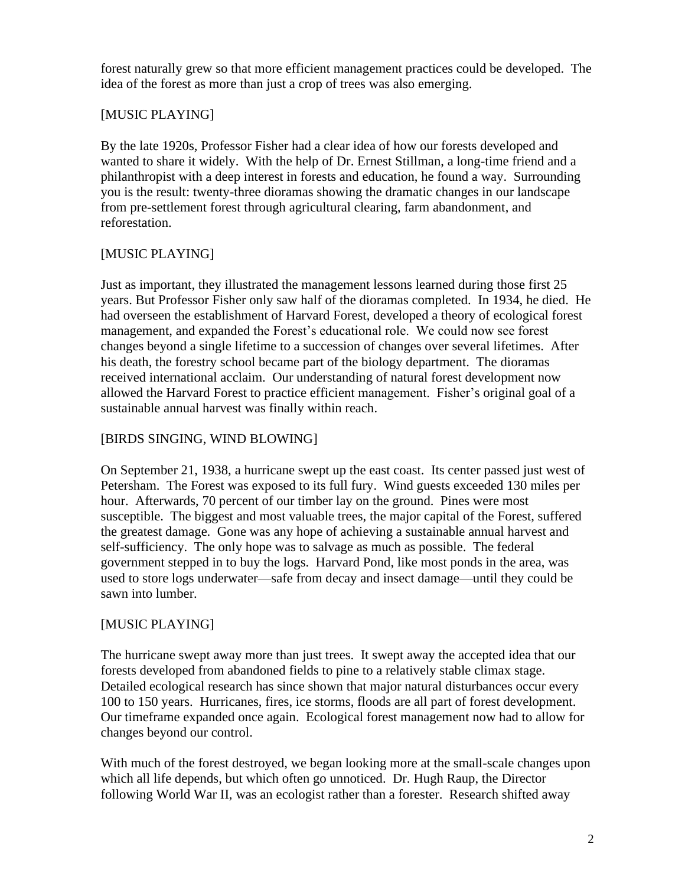forest naturally grew so that more efficient management practices could be developed. The idea of the forest as more than just a crop of trees was also emerging.

## [MUSIC PLAYING]

By the late 1920s, Professor Fisher had a clear idea of how our forests developed and wanted to share it widely. With the help of Dr. Ernest Stillman, a long-time friend and a philanthropist with a deep interest in forests and education, he found a way. Surrounding you is the result: twenty-three dioramas showing the dramatic changes in our landscape from pre-settlement forest through agricultural clearing, farm abandonment, and reforestation.

# [MUSIC PLAYING]

Just as important, they illustrated the management lessons learned during those first 25 years. But Professor Fisher only saw half of the dioramas completed. In 1934, he died. He had overseen the establishment of Harvard Forest, developed a theory of ecological forest management, and expanded the Forest's educational role. We could now see forest changes beyond a single lifetime to a succession of changes over several lifetimes. After his death, the forestry school became part of the biology department. The dioramas received international acclaim. Our understanding of natural forest development now allowed the Harvard Forest to practice efficient management. Fisher's original goal of a sustainable annual harvest was finally within reach.

# [BIRDS SINGING, WIND BLOWING]

On September 21, 1938, a hurricane swept up the east coast. Its center passed just west of Petersham. The Forest was exposed to its full fury. Wind guests exceeded 130 miles per hour. Afterwards, 70 percent of our timber lay on the ground. Pines were most susceptible. The biggest and most valuable trees, the major capital of the Forest, suffered the greatest damage. Gone was any hope of achieving a sustainable annual harvest and self-sufficiency. The only hope was to salvage as much as possible. The federal government stepped in to buy the logs. Harvard Pond, like most ponds in the area, was used to store logs underwater—safe from decay and insect damage—until they could be sawn into lumber.

## [MUSIC PLAYING]

The hurricane swept away more than just trees. It swept away the accepted idea that our forests developed from abandoned fields to pine to a relatively stable climax stage. Detailed ecological research has since shown that major natural disturbances occur every 100 to 150 years. Hurricanes, fires, ice storms, floods are all part of forest development. Our timeframe expanded once again. Ecological forest management now had to allow for changes beyond our control.

With much of the forest destroyed, we began looking more at the small-scale changes upon which all life depends, but which often go unnoticed. Dr. Hugh Raup, the Director following World War II, was an ecologist rather than a forester. Research shifted away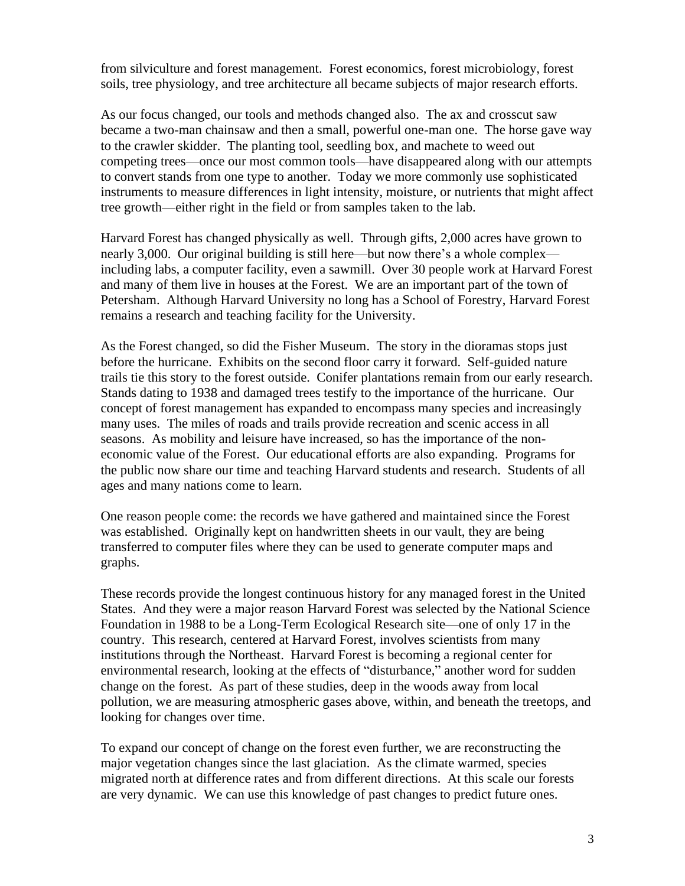from silviculture and forest management. Forest economics, forest microbiology, forest soils, tree physiology, and tree architecture all became subjects of major research efforts.

As our focus changed, our tools and methods changed also. The ax and crosscut saw became a two-man chainsaw and then a small, powerful one-man one. The horse gave way to the crawler skidder. The planting tool, seedling box, and machete to weed out competing trees—once our most common tools—have disappeared along with our attempts to convert stands from one type to another. Today we more commonly use sophisticated instruments to measure differences in light intensity, moisture, or nutrients that might affect tree growth—either right in the field or from samples taken to the lab.

Harvard Forest has changed physically as well. Through gifts, 2,000 acres have grown to nearly 3,000. Our original building is still here—but now there's a whole complex including labs, a computer facility, even a sawmill. Over 30 people work at Harvard Forest and many of them live in houses at the Forest. We are an important part of the town of Petersham. Although Harvard University no long has a School of Forestry, Harvard Forest remains a research and teaching facility for the University.

As the Forest changed, so did the Fisher Museum. The story in the dioramas stops just before the hurricane. Exhibits on the second floor carry it forward. Self-guided nature trails tie this story to the forest outside. Conifer plantations remain from our early research. Stands dating to 1938 and damaged trees testify to the importance of the hurricane. Our concept of forest management has expanded to encompass many species and increasingly many uses. The miles of roads and trails provide recreation and scenic access in all seasons. As mobility and leisure have increased, so has the importance of the noneconomic value of the Forest. Our educational efforts are also expanding. Programs for the public now share our time and teaching Harvard students and research. Students of all ages and many nations come to learn.

One reason people come: the records we have gathered and maintained since the Forest was established. Originally kept on handwritten sheets in our vault, they are being transferred to computer files where they can be used to generate computer maps and graphs.

These records provide the longest continuous history for any managed forest in the United States. And they were a major reason Harvard Forest was selected by the National Science Foundation in 1988 to be a Long-Term Ecological Research site—one of only 17 in the country. This research, centered at Harvard Forest, involves scientists from many institutions through the Northeast. Harvard Forest is becoming a regional center for environmental research, looking at the effects of "disturbance," another word for sudden change on the forest. As part of these studies, deep in the woods away from local pollution, we are measuring atmospheric gases above, within, and beneath the treetops, and looking for changes over time.

To expand our concept of change on the forest even further, we are reconstructing the major vegetation changes since the last glaciation. As the climate warmed, species migrated north at difference rates and from different directions. At this scale our forests are very dynamic. We can use this knowledge of past changes to predict future ones.